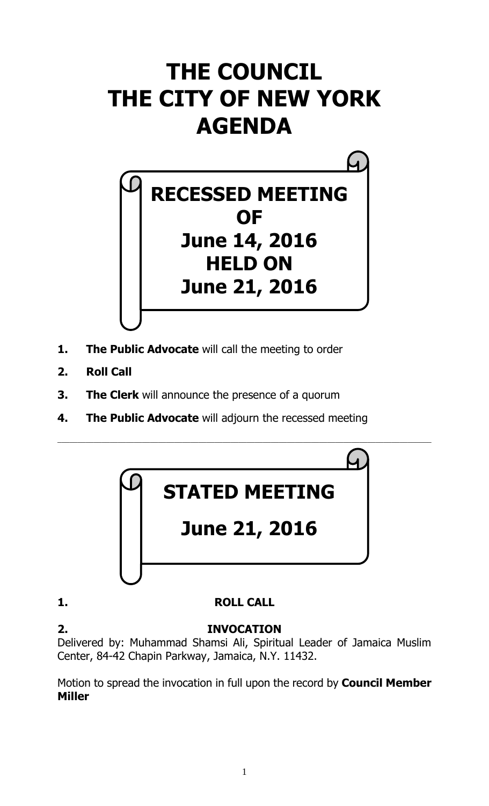# **THE COUNCIL THE CITY OF NEW YORK AGENDA**



- **1. The Public Advocate** will call the meeting to order
- **2. Roll Call**
- **3. The Clerk** will announce the presence of a quorum
- **4. The Public Advocate** will adjourn the recessed meeting



# **1. ROLL CALL**

**2. INVOCATION** Delivered by: Muhammad Shamsi Ali, Spiritual Leader of Jamaica Muslim Center, 84-42 Chapin Parkway, Jamaica, N.Y. 11432.

Motion to spread the invocation in full upon the record by **Council Member Miller**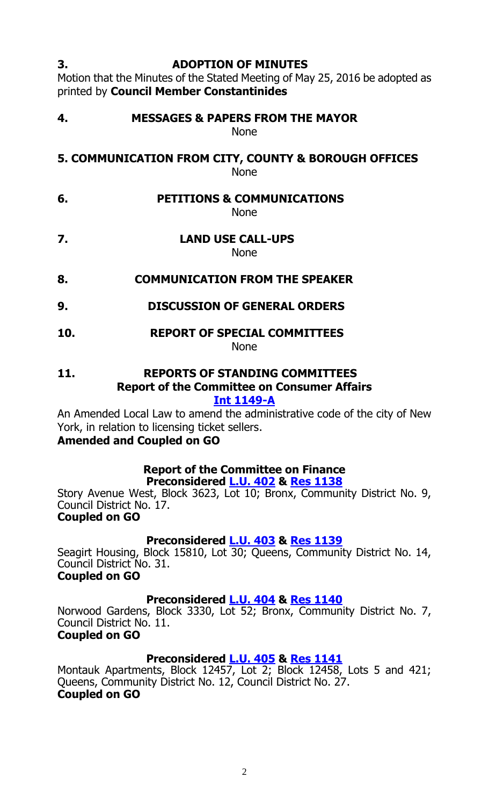#### **3. ADOPTION OF MINUTES**

Motion that the Minutes of the Stated Meeting of May 25, 2016 be adopted as printed by **Council Member Constantinides** 

**4. MESSAGES & PAPERS FROM THE MAYOR** None

**5. COMMUNICATION FROM CITY, COUNTY & BOROUGH OFFICES** None

**6. PETITIONS & COMMUNICATIONS**

None

- **7. LAND USE CALL-UPS** None
- **8. COMMUNICATION FROM THE SPEAKER**
- **9. DISCUSSION OF GENERAL ORDERS**
- **10. REPORT OF SPECIAL COMMITTEES** None

**11. REPORTS OF STANDING COMMITTEES Report of the Committee on Consumer Affairs**

**[Int 1149-A](http://legistar.council.nyc.gov/LegislationDetail.aspx?ID=2636744&GUID=A89889F4-E19D-4746-A27A-7157E61609B4&Options=Advanced&Search=)**

An Amended Local Law to amend the administrative code of the city of New York, in relation to licensing ticket sellers.

#### **Amended and Coupled on GO**

# **Report of the Committee on Finance**

**Preconsidered [L.U.](http://legistar.council.nyc.gov/LegislationDetail.aspx?ID=2761218&GUID=CCEB2572-2EC0-4EF9-89AC-0E2F2D26B019&Options=ID%7c&Search=) 402 & Res [1138](http://legistar.council.nyc.gov/LegislationDetail.aspx?ID=2764906&GUID=0122E86D-EFFC-427A-9448-59D67F7171A3&Options=ID|&Search=)** Story Avenue West, Block 3623, Lot 10; Bronx, Community District No. 9, Council District No. 17.

#### **Coupled on GO**

# **Preconsidered [L.U.](http://legistar.council.nyc.gov/LegislationDetail.aspx?ID=2761234&GUID=14D62851-72F0-4204-A2B3-BA9F4C1B128F&Options=ID|&Search=) 403 & Res [1139](http://legistar.council.nyc.gov/LegislationDetail.aspx?ID=2764907&GUID=25126E39-2497-4248-9E1E-527D24707345&Options=ID|&Search=)**

Seagirt Housing, Block 15810, Lot 30; Queens, Community District No. 14, Council District No. 31.

### **Coupled on GO**

#### **Preconsidered [L.U.](http://legistar.council.nyc.gov/LegislationDetail.aspx?ID=2761235&GUID=68A50FFA-67C7-460A-9F4D-70A90227E922&Options=ID|&Search=) 404 & Res [1140](http://legistar.council.nyc.gov/LegislationDetail.aspx?ID=2764908&GUID=4D846F53-5B1E-4421-8828-9BDB5888118B&Options=ID|&Search=)**

Norwood Gardens, Block 3330, Lot 52; Bronx, Community District No. 7, Council District No. 11. **Coupled on GO**

# **Preconsidered [L.U.](http://legistar.council.nyc.gov/LegislationDetail.aspx?ID=2761236&GUID=C3928E4C-CC62-4ACA-A1A5-E05C102F11D7&Options=ID|&Search=) 405 & Res [1141](http://legistar.council.nyc.gov/LegislationDetail.aspx?ID=2764909&GUID=794416B5-6BEB-428F-9CBA-1456F4B445CB&Options=ID|&Search=)**

Montauk Apartments, Block 12457, Lot 2; Block 12458, Lots 5 and 421; Queens, Community District No. 12, Council District No. 27. **Coupled on GO**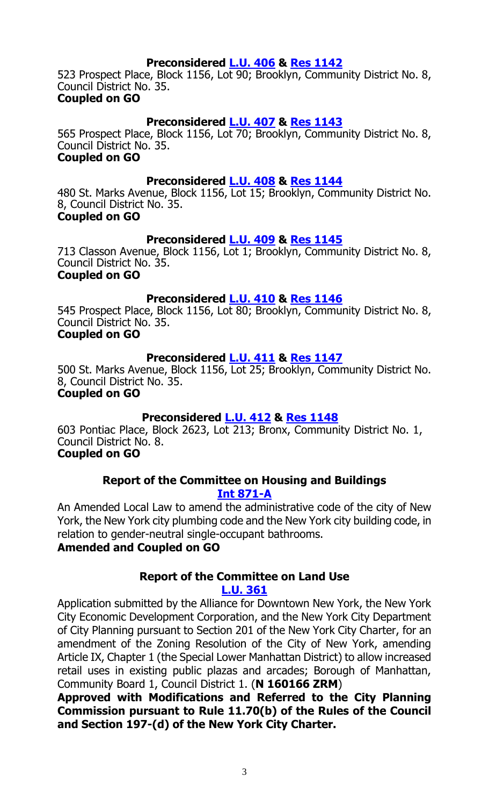#### **Preconsidered [L.U.](http://legistar.council.nyc.gov/LegislationDetail.aspx?ID=2761242&GUID=BFCF331A-4B80-4745-9681-208D0C03AE38&Options=ID|&Search=) 406 & Res [1142](http://legistar.council.nyc.gov/LegislationDetail.aspx?ID=2764910&GUID=F748BC6F-3F3F-42BF-B5A9-BF558C8C88D5&Options=ID|&Search=)**

523 Prospect Place, Block 1156, Lot 90; Brooklyn, Community District No. 8, Council District No. 35.

#### **Coupled on GO**

#### **Preconsidered [L.U.](http://legistar.council.nyc.gov/LegislationDetail.aspx?ID=2761243&GUID=66B32906-34E4-4F57-AA81-6DCE8C8DCD0D&Options=ID|&Search=) 407 & Res [1143](http://legistar.council.nyc.gov/LegislationDetail.aspx?ID=2764911&GUID=D578290D-2F23-4638-B2C0-E61B53033340&Options=ID|&Search=)**

565 Prospect Place, Block 1156, Lot 70; Brooklyn, Community District No. 8, Council District No. 35.

#### **Coupled on GO**

#### **Preconsidered [L.U.](http://legistar.council.nyc.gov/LegislationDetail.aspx?ID=2761246&GUID=63E75696-6CA1-4699-BF32-8C76EBE93B9C&Options=ID|&Search=) 408 & Res [1144](http://legistar.council.nyc.gov/LegislationDetail.aspx?ID=2764912&GUID=16832C89-B5C5-49EE-91A3-B707772F9FA2&Options=ID|&Search=)**

480 St. Marks Avenue, Block 1156, Lot 15; Brooklyn, Community District No. 8, Council District No. 35. **Coupled on GO**

**Preconsidered [L.U.](http://legistar.council.nyc.gov/LegislationDetail.aspx?ID=2761247&GUID=129791EB-5B28-4280-8110-B76DEB784CF4&Options=ID|&Search=) 409 & Res [1145](http://legistar.council.nyc.gov/LegislationDetail.aspx?ID=2764913&GUID=24DC0145-B373-42F9-ABD2-9C3DF6904702&Options=ID|&Search=)** 713 Classon Avenue, Block 1156, Lot 1; Brooklyn, Community District No. 8, Council District No. 35.

#### **Coupled on GO**

#### **Preconsidered [L.U.](http://legistar.council.nyc.gov/LegislationDetail.aspx?ID=2761248&GUID=F76557AA-E926-43D6-8F3D-9FC46096B6AE&Options=ID|&Search=) 410 & Res [1146](http://legistar.council.nyc.gov/LegislationDetail.aspx?ID=2764914&GUID=9918E716-4AA5-4CDD-BCBD-7E79894416B9&Options=ID|&Search=)**

545 Prospect Place, Block 1156, Lot 80; Brooklyn, Community District No. 8, Council District No. 35. **Coupled on GO**

#### **Preconsidered [L.U.](http://legistar.council.nyc.gov/LegislationDetail.aspx?ID=2761249&GUID=329812D9-1ED4-4696-A016-2250198E2C4E&Options=ID|&Search=) 411 & Res [1147](http://legistar.council.nyc.gov/LegislationDetail.aspx?ID=2764915&GUID=225E15F2-E51F-49E9-8AAC-A59D09057F39&Options=ID|&Search=)**

500 St. Marks Avenue, Block 1156, Lot 25; Brooklyn, Community District No. 8, Council District No. 35.

#### **Coupled on GO**

#### **Preconsidered [L.U.](http://legistar.council.nyc.gov/LegislationDetail.aspx?ID=2762766&GUID=A0A9C57F-C967-42A5-8A93-20C490B1AF00&Options=ID|&Search=) 412 & Res [1148](http://legistar.council.nyc.gov/LegislationDetail.aspx?ID=2764928&GUID=E0298894-F3CE-4E87-9602-682FEB1BA15B&Options=ID|&Search=)**

603 Pontiac Place, Block 2623, Lot 213; Bronx, Community District No. 1, Council District No. 8.

# **Coupled on GO**

#### **Report of the Committee on Housing and Buildings [Int 871-A](http://legistar.council.nyc.gov/LegislationDetail.aspx?ID=2404411&GUID=E9FA5622-7E3A-496B-ADB2-58FA61262689&Options=ID|&Search=0871)**

An Amended Local Law to amend the administrative code of the city of New York, the New York city plumbing code and the New York city building code, in relation to gender-neutral single-occupant bathrooms.

## **Amended and Coupled on GO**

#### **Report of the Committee on Land Use [L.U. 361](http://legistar.council.nyc.gov/LegislationDetail.aspx?ID=2703186&GUID=E3325BD9-F218-48F1-973A-2A8F79BD9466&Options=ID|&Search=)**

Application submitted by the Alliance for Downtown New York, the New York City Economic Development Corporation, and the New York City Department of City Planning pursuant to Section 201 of the New York City Charter, for an amendment of the Zoning Resolution of the City of New York, amending Article IX, Chapter 1 (the Special Lower Manhattan District) to allow increased retail uses in existing public plazas and arcades; Borough of Manhattan, Community Board 1, Council District 1. (**N 160166 ZRM**)

**Approved with Modifications and Referred to the City Planning Commission pursuant to Rule 11.70(b) of the Rules of the Council and Section 197-(d) of the New York City Charter.**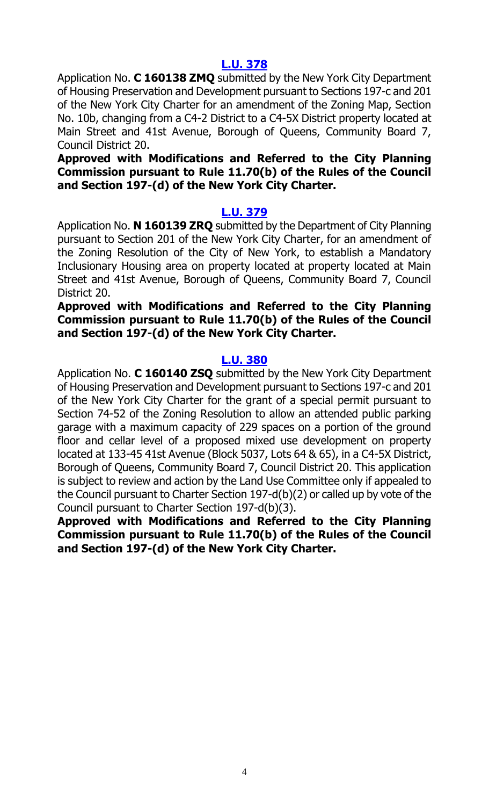### **[L.U. 378](http://legistar.council.nyc.gov/LegislationDetail.aspx?ID=2735389&GUID=13D8D22B-6BF2-4C2B-BAC3-D5488B3ECDDD&Options=ID|&Search=)**

Application No. **C 160138 ZMQ** submitted by the New York City Department of Housing Preservation and Development pursuant to Sections 197-c and 201 of the New York City Charter for an amendment of the Zoning Map, Section No. 10b, changing from a C4-2 District to a C4-5X District property located at Main Street and 41st Avenue, Borough of Queens, Community Board 7, Council District 20.

#### **Approved with Modifications and Referred to the City Planning Commission pursuant to Rule 11.70(b) of the Rules of the Council and Section 197-(d) of the New York City Charter.**

#### **[L.U. 379](http://legistar.council.nyc.gov/LegislationDetail.aspx?ID=2735390&GUID=9FD39F3E-AFBD-4F81-AC86-033197CD939F&Options=ID|&Search=)**

Application No. **N 160139 ZRQ** submitted by the Department of City Planning pursuant to Section 201 of the New York City Charter, for an amendment of the Zoning Resolution of the City of New York, to establish a Mandatory Inclusionary Housing area on property located at property located at Main Street and 41st Avenue, Borough of Queens, Community Board 7, Council District 20.

#### **Approved with Modifications and Referred to the City Planning Commission pursuant to Rule 11.70(b) of the Rules of the Council and Section 197-(d) of the New York City Charter.**

## **[L.U. 380](http://legistar.council.nyc.gov/LegislationDetail.aspx?ID=2735391&GUID=EAEAC3F1-4CF4-4674-BACC-418C191749E1&Options=ID|&Search=)**

Application No. **C 160140 ZSQ** submitted by the New York City Department of Housing Preservation and Development pursuant to Sections 197-c and 201 of the New York City Charter for the grant of a special permit pursuant to Section 74-52 of the Zoning Resolution to allow an attended public parking garage with a maximum capacity of 229 spaces on a portion of the ground floor and cellar level of a proposed mixed use development on property located at 133-45 41st Avenue (Block 5037, Lots 64 & 65), in a C4-5X District, Borough of Queens, Community Board 7, Council District 20. This application is subject to review and action by the Land Use Committee only if appealed to the Council pursuant to Charter Section 197-d(b)(2) or called up by vote of the Council pursuant to Charter Section 197-d(b)(3).

**Approved with Modifications and Referred to the City Planning Commission pursuant to Rule 11.70(b) of the Rules of the Council and Section 197-(d) of the New York City Charter.**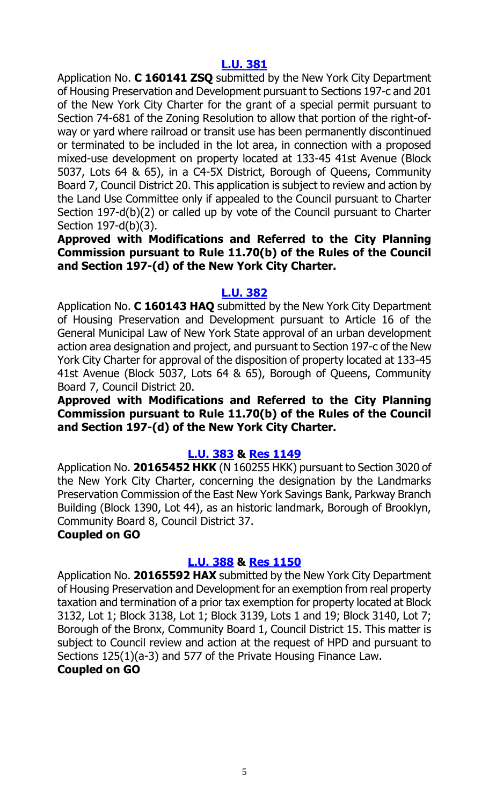### **[L.U. 381](http://legistar.council.nyc.gov/LegislationDetail.aspx?ID=2735392&GUID=404627A6-F071-433A-940D-9A097A148C85&Options=ID|&Search=)**

Application No. **C 160141 ZSQ** submitted by the New York City Department of Housing Preservation and Development pursuant to Sections 197-c and 201 of the New York City Charter for the grant of a special permit pursuant to Section 74-681 of the Zoning Resolution to allow that portion of the right-ofway or yard where railroad or transit use has been permanently discontinued or terminated to be included in the lot area, in connection with a proposed mixed-use development on property located at 133-45 41st Avenue (Block 5037, Lots 64 & 65), in a C4-5X District, Borough of Queens, Community Board 7, Council District 20. This application is subject to review and action by the Land Use Committee only if appealed to the Council pursuant to Charter Section 197-d(b)(2) or called up by vote of the Council pursuant to Charter Section 197-d(b)(3).

#### **Approved with Modifications and Referred to the City Planning Commission pursuant to Rule 11.70(b) of the Rules of the Council and Section 197-(d) of the New York City Charter.**

#### **[L.U. 382](http://legistar.council.nyc.gov/LegislationDetail.aspx?ID=2735393&GUID=127973EE-5A4D-4298-8080-1FF581CF9058&Options=ID|&Search=)**

Application No. **C 160143 HAQ** submitted by the New York City Department of Housing Preservation and Development pursuant to Article 16 of the General Municipal Law of New York State approval of an urban development action area designation and project, and pursuant to Section 197-c of the New York City Charter for approval of the disposition of property located at 133-45 41st Avenue (Block 5037, Lots 64 & 65), Borough of Queens, Community Board 7, Council District 20.

**Approved with Modifications and Referred to the City Planning Commission pursuant to Rule 11.70(b) of the Rules of the Council and Section 197-(d) of the New York City Charter.**

#### **[L.U. 383](http://legistar.council.nyc.gov/LegislationDetail.aspx?ID=2735394&GUID=EF42EA21-6797-414A-A448-1273DEB85E33&Options=Advanced&Search=) & Res [1149](http://legistar.council.nyc.gov/LegislationDetail.aspx?ID=2762008&GUID=37914E2A-CDE0-4637-B951-EA3447BBCA92&Options=ID|&Search=)**

Application No. **20165452 HKK** (N 160255 HKK) pursuant to Section 3020 of the New York City Charter, concerning the designation by the Landmarks Preservation Commission of the East New York Savings Bank, Parkway Branch Building (Block 1390, Lot 44), as an historic landmark, Borough of Brooklyn, Community Board 8, Council District 37.

# **Coupled on GO**

# **[L.U. 388](http://legistar.council.nyc.gov/LegislationDetail.aspx?ID=2735399&GUID=8046ADF5-B7EF-4D6F-A2E7-CA52FED7EBD1&Options=Advanced&Search=) & Res [1150](http://legistar.council.nyc.gov/LegislationDetail.aspx?ID=2762009&GUID=A9E887FE-1BF6-4779-8837-46BC810D6590&Options=ID|&Search=)**

Application No. **20165592 HAX** submitted by the New York City Department of Housing Preservation and Development for an exemption from real property taxation and termination of a prior tax exemption for property located at Block 3132, Lot 1; Block 3138, Lot 1; Block 3139, Lots 1 and 19; Block 3140, Lot 7; Borough of the Bronx, Community Board 1, Council District 15. This matter is subject to Council review and action at the request of HPD and pursuant to Sections 125(1)(a-3) and 577 of the Private Housing Finance Law.

## **Coupled on GO**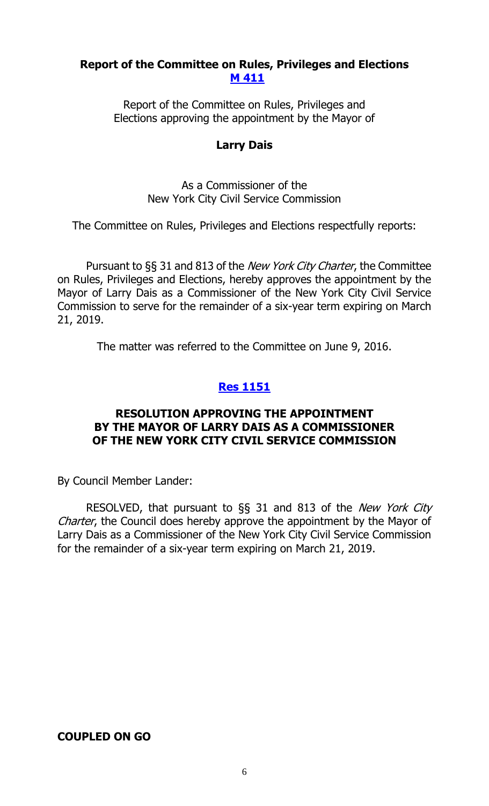#### **Report of the Committee on Rules, Privileges and Elections [M 411](http://legistar.council.nyc.gov/LegislationDetail.aspx?ID=2745778&GUID=1B0C8A38-4A61-484D-8DB7-EDA4D8EBBE08&Options=ID|&Search=)**

Report of the Committee on Rules, Privileges and Elections approving the appointment by the Mayor of

#### **Larry Dais**

As a Commissioner of the New York City Civil Service Commission

The Committee on Rules, Privileges and Elections respectfully reports:

Pursuant to §§ 31 and 813 of the *New York City Charter*, the Committee on Rules, Privileges and Elections, hereby approves the appointment by the Mayor of Larry Dais as a Commissioner of the New York City Civil Service Commission to serve for the remainder of a six-year term expiring on March 21, 2019.

The matter was referred to the Committee on June 9, 2016.

# **Res [1151](http://legistar.council.nyc.gov/LegislationDetail.aspx?ID=2764917&GUID=4D042331-D411-4A42-B2C1-A82CC6F3594F&Options=ID|&Search=)**

#### **RESOLUTION APPROVING THE APPOINTMENT BY THE MAYOR OF LARRY DAIS AS A COMMISSIONER OF THE NEW YORK CITY CIVIL SERVICE COMMISSION**

By Council Member Lander:

RESOLVED, that pursuant to §§ 31 and 813 of the New York City Charter, the Council does hereby approve the appointment by the Mayor of Larry Dais as a Commissioner of the New York City Civil Service Commission for the remainder of a six-year term expiring on March 21, 2019.

#### **COUPLED ON GO**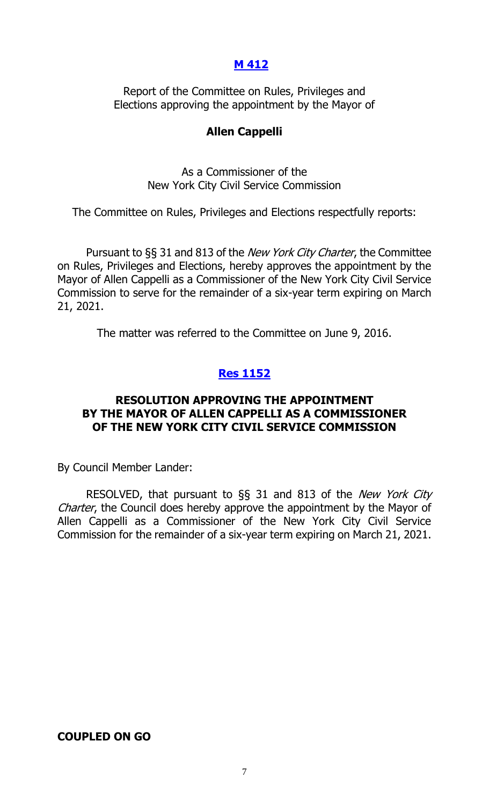#### **[M 412](http://legistar.council.nyc.gov/LegislationDetail.aspx?ID=2745779&GUID=9021FBC9-3B07-4856-A70D-B83A5CB7D8FC&Options=ID|&Search=)**

Report of the Committee on Rules, Privileges and Elections approving the appointment by the Mayor of

#### **Allen Cappelli**

As a Commissioner of the New York City Civil Service Commission

The Committee on Rules, Privileges and Elections respectfully reports:

Pursuant to §§ 31 and 813 of the *New York City Charter*, the Committee on Rules, Privileges and Elections, hereby approves the appointment by the Mayor of Allen Cappelli as a Commissioner of the New York City Civil Service Commission to serve for the remainder of a six-year term expiring on March 21, 2021.

The matter was referred to the Committee on June 9, 2016.

## **Res [1152](http://legistar.council.nyc.gov/LegislationDetail.aspx?ID=2764918&GUID=ABA1E155-4C9D-4447-9A00-3E2127EA355C&Options=ID|&Search=)**

#### **RESOLUTION APPROVING THE APPOINTMENT BY THE MAYOR OF ALLEN CAPPELLI AS A COMMISSIONER OF THE NEW YORK CITY CIVIL SERVICE COMMISSION**

By Council Member Lander:

RESOLVED, that pursuant to §§ 31 and 813 of the New York City Charter, the Council does hereby approve the appointment by the Mayor of Allen Cappelli as a Commissioner of the New York City Civil Service Commission for the remainder of a six-year term expiring on March 21, 2021.

#### **COUPLED ON GO**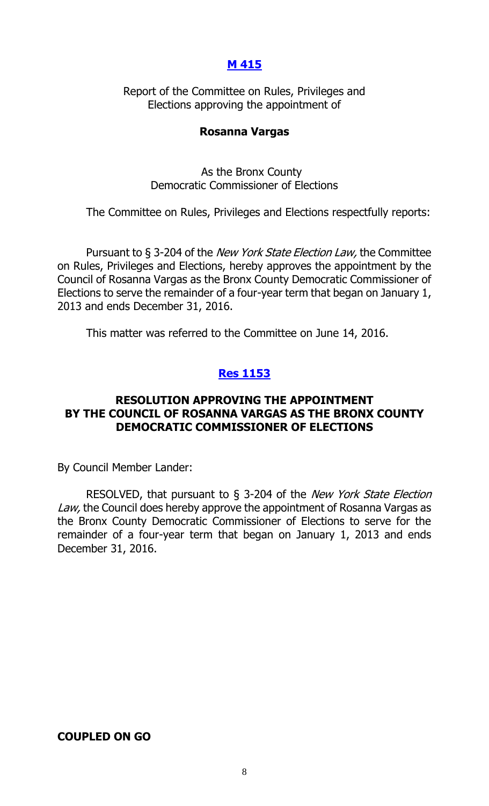#### **[M 415](http://legistar.council.nyc.gov/LegislationDetail.aspx?ID=2750669&GUID=4905E4E0-D677-4B03-8E06-6F1E04ECDA2F&Options=ID|&Search=)**

Report of the Committee on Rules, Privileges and Elections approving the appointment of

#### **Rosanna Vargas**

As the Bronx County Democratic Commissioner of Elections

The Committee on Rules, Privileges and Elections respectfully reports:

Pursuant to § 3-204 of the *New York State Election Law*, the Committee on Rules, Privileges and Elections, hereby approves the appointment by the Council of Rosanna Vargas as the Bronx County Democratic Commissioner of Elections to serve the remainder of a four-year term that began on January 1, 2013 and ends December 31, 2016.

This matter was referred to the Committee on June 14, 2016.

# **Res [1153](http://legistar.council.nyc.gov/LegislationDetail.aspx?ID=2764916&GUID=012872F0-BBB1-4BFB-A0B3-3AE7DAD8A570&Options=ID|&Search=)**

#### **RESOLUTION APPROVING THE APPOINTMENT BY THE COUNCIL OF ROSANNA VARGAS AS THE BRONX COUNTY DEMOCRATIC COMMISSIONER OF ELECTIONS**

By Council Member Lander:

RESOLVED, that pursuant to § 3-204 of the New York State Election Law, the Council does hereby approve the appointment of Rosanna Vargas as the Bronx County Democratic Commissioner of Elections to serve for the remainder of a four-year term that began on January 1, 2013 and ends December 31, 2016.

#### **COUPLED ON GO**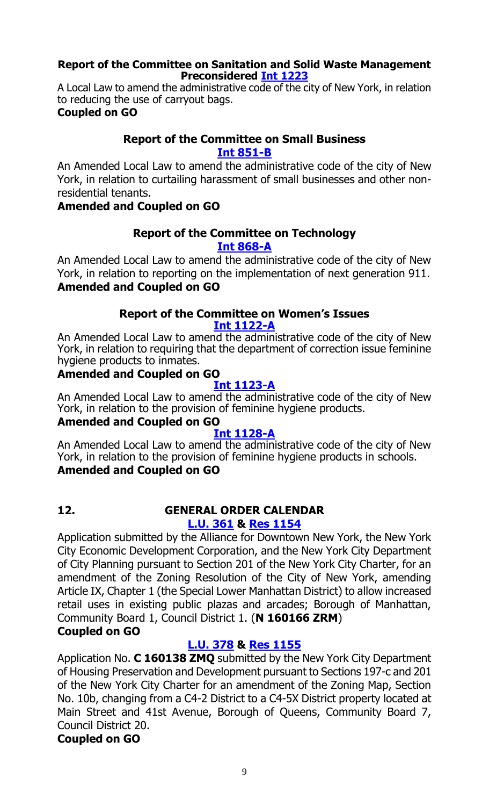#### **Report of the Committee on Sanitation and Solid Waste Management Preconsidered Int [1223](http://legistar.council.nyc.gov/LegislationDetail.aspx?ID=2761187&GUID=6AD5229A-561A-4B56-ACF9-3FC8F0C89AB7&Options=ID|&Search=)**

A Local Law to amend the administrative code of the city of New York, in relation to reducing the use of carryout bags. **Coupled on GO**

# **Report of the Committee on Small Business [Int 851-B](http://legistar.council.nyc.gov/LegislationDetail.aspx?ID=2386568&GUID=A9BB6E4B-5E2C-442A-814B-E9AD1AFA880E&Options=ID%7c&Search=0851)**

An Amended Local Law to amend the administrative code of the city of New York, in relation to curtailing harassment of small businesses and other nonresidential tenants.

# **Amended and Coupled on GO**

#### **Report of the Committee on Technology [Int 868-A](http://legistar.council.nyc.gov/LegislationDetail.aspx?ID=2404401&GUID=115ECB17-D5D7-4497-8F18-685923A25157&Options=ID|&Search=0868)**

An Amended Local Law to amend the administrative code of the city of New York, in relation to reporting on the implementation of next generation 911. **Amended and Coupled on GO**

# **Report of the Committee on Women's Issues**

**[Int 1122-A](http://legistar.council.nyc.gov/LegislationDetail.aspx?ID=2637117&GUID=4D97B9EE-4986-4B87-B846-2E52A329695A&Options=Advanced&Search=)**

An Amended Local Law to amend the administrative code of the city of New York, in relation to requiring that the department of correction issue feminine hygiene products to inmates.

## **Amended and Coupled on GO**

#### **[Int 1123-A](http://legistar.council.nyc.gov/LegislationDetail.aspx?ID=2637112&GUID=31322AF8-376A-4D7F-93B2-4243BA5E4181&Options=Advanced&Search=)**

An Amended Local Law to amend the administrative code of the city of New York, in relation to the provision of feminine hygiene products.

# **Amended and Coupled on GO**

# **[Int 1128-A](http://legistar.council.nyc.gov/LegislationDetail.aspx?ID=2637114&GUID=834E4DFC-7F14-4E1E-812F-2CD862A4FC1D&Options=Advanced&Search=)**

An Amended Local Law to amend the administrative code of the city of New York, in relation to the provision of feminine hygiene products in schools. **Amended and Coupled on GO**

## **12. GENERAL ORDER CALENDAR [L.U. 361](http://legistar.council.nyc.gov/LegislationDetail.aspx?ID=2703186&GUID=E3325BD9-F218-48F1-973A-2A8F79BD9466&Options=Advanced&Search=) & Res [1154](http://legistar.council.nyc.gov/LegislationDetail.aspx?ID=2761990&GUID=13F415CA-6C7E-443E-9120-4D64601A27E4&Options=ID|&Search=)**

Application submitted by the Alliance for Downtown New York, the New York City Economic Development Corporation, and the New York City Department of City Planning pursuant to Section 201 of the New York City Charter, for an amendment of the Zoning Resolution of the City of New York, amending Article IX, Chapter 1 (the Special Lower Manhattan District) to allow increased retail uses in existing public plazas and arcades; Borough of Manhattan, Community Board 1, Council District 1. (**N 160166 ZRM**)

# **Coupled on GO**

# **[L.U. 378](http://legistar.council.nyc.gov/LegislationDetail.aspx?ID=2735389&GUID=13D8D22B-6BF2-4C2B-BAC3-D5488B3ECDDD&Options=Advanced&Search=) & Res [1155](http://legistar.council.nyc.gov/LegislationDetail.aspx?ID=2761991&GUID=6AB5B4B3-FD53-4787-9B19-3347B1E609D8&Options=ID|&Search=)**

Application No. **C 160138 ZMQ** submitted by the New York City Department of Housing Preservation and Development pursuant to Sections 197-c and 201 of the New York City Charter for an amendment of the Zoning Map, Section No. 10b, changing from a C4-2 District to a C4-5X District property located at Main Street and 41st Avenue, Borough of Queens, Community Board 7, Council District 20.

# **Coupled on GO**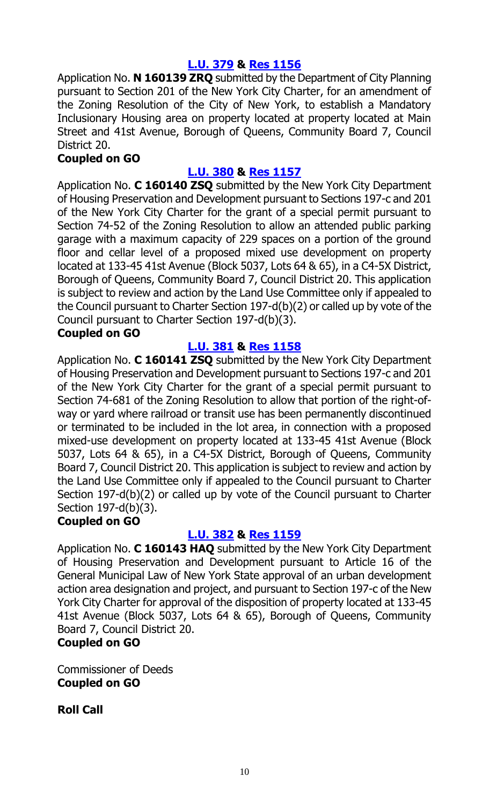# **[L.U. 379](http://legistar.council.nyc.gov/LegislationDetail.aspx?ID=2735390&GUID=9FD39F3E-AFBD-4F81-AC86-033197CD939F&Options=Advanced&Search=) & Res [1156](http://legistar.council.nyc.gov/LegislationDetail.aspx?ID=2761992&GUID=2B9134F2-AA7F-4F93-A6DB-884F4439464C&Options=ID|&Search=)**

Application No. **N 160139 ZRQ** submitted by the Department of City Planning pursuant to Section 201 of the New York City Charter, for an amendment of the Zoning Resolution of the City of New York, to establish a Mandatory Inclusionary Housing area on property located at property located at Main Street and 41st Avenue, Borough of Queens, Community Board 7, Council District 20.

## **Coupled on GO**

# **[L.U. 380](http://legistar.council.nyc.gov/LegislationDetail.aspx?ID=2735391&GUID=EAEAC3F1-4CF4-4674-BACC-418C191749E1&Options=Advanced&Search=) & Res [1157](http://legistar.council.nyc.gov/LegislationDetail.aspx?ID=2761993&GUID=4EE1D8D0-1D9D-4CD7-AF95-3E78471BD6E6&Options=ID|&Search=)**

Application No. **C 160140 ZSQ** submitted by the New York City Department of Housing Preservation and Development pursuant to Sections 197-c and 201 of the New York City Charter for the grant of a special permit pursuant to Section 74-52 of the Zoning Resolution to allow an attended public parking garage with a maximum capacity of 229 spaces on a portion of the ground floor and cellar level of a proposed mixed use development on property located at 133-45 41st Avenue (Block 5037, Lots 64 & 65), in a C4-5X District, Borough of Queens, Community Board 7, Council District 20. This application is subject to review and action by the Land Use Committee only if appealed to the Council pursuant to Charter Section 197-d(b)(2) or called up by vote of the Council pursuant to Charter Section 197-d(b)(3).

# **Coupled on GO**

## **[L.U. 381](http://legistar.council.nyc.gov/LegislationDetail.aspx?ID=2735392&GUID=404627A6-F071-433A-940D-9A097A148C85&Options=Advanced&Search=) & Res [1158](http://legistar.council.nyc.gov/LegislationDetail.aspx?ID=2761994&GUID=9C803BA5-8459-4EA0-910D-900BE5A801C9&Options=ID|&Search=)**

Application No. **C 160141 ZSQ** submitted by the New York City Department of Housing Preservation and Development pursuant to Sections 197-c and 201 of the New York City Charter for the grant of a special permit pursuant to Section 74-681 of the Zoning Resolution to allow that portion of the right-ofway or yard where railroad or transit use has been permanently discontinued or terminated to be included in the lot area, in connection with a proposed mixed-use development on property located at 133-45 41st Avenue (Block 5037, Lots 64 & 65), in a C4-5X District, Borough of Queens, Community Board 7, Council District 20. This application is subject to review and action by the Land Use Committee only if appealed to the Council pursuant to Charter Section 197-d(b)(2) or called up by vote of the Council pursuant to Charter Section 197-d(b)(3).

#### **Coupled on GO**

#### **[L.U. 382](http://legistar.council.nyc.gov/LegislationDetail.aspx?ID=2735393&GUID=127973EE-5A4D-4298-8080-1FF581CF9058&Options=Advanced&Search=) & Res [1159](http://legistar.council.nyc.gov/LegislationDetail.aspx?ID=2762007&GUID=6AB990A4-8EE2-4879-8843-EC0903CEA536&Options=ID|&Search=)**

Application No. **C 160143 HAQ** submitted by the New York City Department of Housing Preservation and Development pursuant to Article 16 of the General Municipal Law of New York State approval of an urban development action area designation and project, and pursuant to Section 197-c of the New York City Charter for approval of the disposition of property located at 133-45 41st Avenue (Block 5037, Lots 64 & 65), Borough of Queens, Community Board 7, Council District 20.

# **Coupled on GO**

Commissioner of Deeds **Coupled on GO**

**Roll Call**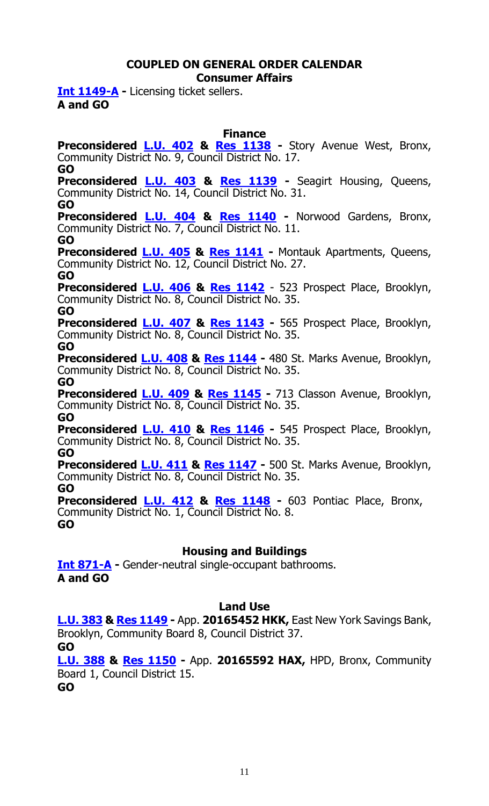#### **COUPLED ON GENERAL ORDER CALENDAR Consumer Affairs**

**[Int 1149-A](http://legistar.council.nyc.gov/LegislationDetail.aspx?ID=2636744&GUID=A89889F4-E19D-4746-A27A-7157E61609B4&Options=Advanced&Search=) -** Licensing ticket sellers. **A and GO**

**Finance**

**Preconsidered [L.U.](http://legistar.council.nyc.gov/LegislationDetail.aspx?ID=2761218&GUID=CCEB2572-2EC0-4EF9-89AC-0E2F2D26B019&Options=ID%7c&Search=) 402 & Res [1138](http://legistar.council.nyc.gov/LegislationDetail.aspx?ID=2764906&GUID=0122E86D-EFFC-427A-9448-59D67F7171A3&Options=ID|&Search=) -** Story Avenue West, Bronx, Community District No. 9, Council District No. 17. **GO**

**Preconsidered [L.U.](http://legistar.council.nyc.gov/LegislationDetail.aspx?ID=2761234&GUID=14D62851-72F0-4204-A2B3-BA9F4C1B128F&Options=ID|&Search=) 403 & Res [1139](http://legistar.council.nyc.gov/LegislationDetail.aspx?ID=2764907&GUID=25126E39-2497-4248-9E1E-527D24707345&Options=ID|&Search=) -** Seagirt Housing, Queens, Community District No. 14, Council District No. 31.

**GO**

**Preconsidered [L.U.](http://legistar.council.nyc.gov/LegislationDetail.aspx?ID=2761235&GUID=68A50FFA-67C7-460A-9F4D-70A90227E922&Options=ID|&Search=) 404 & Res [1140](http://legistar.council.nyc.gov/LegislationDetail.aspx?ID=2764908&GUID=4D846F53-5B1E-4421-8828-9BDB5888118B&Options=ID|&Search=) -** Norwood Gardens, Bronx, Community District No. 7, Council District No. 11. **GO**

**Preconsidered [L.U.](http://legistar.council.nyc.gov/LegislationDetail.aspx?ID=2761236&GUID=C3928E4C-CC62-4ACA-A1A5-E05C102F11D7&Options=ID|&Search=) 405 & Res [1141](http://legistar.council.nyc.gov/LegislationDetail.aspx?ID=2764909&GUID=794416B5-6BEB-428F-9CBA-1456F4B445CB&Options=ID|&Search=) -** Montauk Apartments, Queens, Community District No. 12, Council District No. 27. **GO**

**Preconsidered [L.U.](http://legistar.council.nyc.gov/LegislationDetail.aspx?ID=2761242&GUID=BFCF331A-4B80-4745-9681-208D0C03AE38&Options=ID|&Search=) 406 & Res [1142](http://legistar.council.nyc.gov/LegislationDetail.aspx?ID=2764910&GUID=F748BC6F-3F3F-42BF-B5A9-BF558C8C88D5&Options=ID|&Search=)** - 523 Prospect Place, Brooklyn, Community District No. 8, Council District No. 35.

#### **GO**

**Preconsidered [L.U.](http://legistar.council.nyc.gov/LegislationDetail.aspx?ID=2761243&GUID=66B32906-34E4-4F57-AA81-6DCE8C8DCD0D&Options=ID|&Search=) 407 & Res [1143](http://legistar.council.nyc.gov/LegislationDetail.aspx?ID=2764911&GUID=D578290D-2F23-4638-B2C0-E61B53033340&Options=ID|&Search=) -** 565 Prospect Place, Brooklyn, Community District No. 8, Council District No. 35. **GO**

**Preconsidered [L.U.](http://legistar.council.nyc.gov/LegislationDetail.aspx?ID=2761246&GUID=63E75696-6CA1-4699-BF32-8C76EBE93B9C&Options=ID|&Search=) 408 & Res [1144](http://legistar.council.nyc.gov/LegislationDetail.aspx?ID=2764912&GUID=16832C89-B5C5-49EE-91A3-B707772F9FA2&Options=ID|&Search=) -** 480 St. Marks Avenue, Brooklyn, Community District No. 8, Council District No. 35.

**GO**

**Preconsidered [L.U.](http://legistar.council.nyc.gov/LegislationDetail.aspx?ID=2761247&GUID=129791EB-5B28-4280-8110-B76DEB784CF4&Options=ID|&Search=) 409 & Res [1145](http://legistar.council.nyc.gov/LegislationDetail.aspx?ID=2764913&GUID=24DC0145-B373-42F9-ABD2-9C3DF6904702&Options=ID|&Search=) -** 713 Classon Avenue, Brooklyn, Community District No. 8, Council District No. 35. **GO**

**Preconsidered [L.U.](http://legistar.council.nyc.gov/LegislationDetail.aspx?ID=2761248&GUID=F76557AA-E926-43D6-8F3D-9FC46096B6AE&Options=ID|&Search=) 410 & Res [1146](http://legistar.council.nyc.gov/LegislationDetail.aspx?ID=2764914&GUID=9918E716-4AA5-4CDD-BCBD-7E79894416B9&Options=ID|&Search=) -** 545 Prospect Place, Brooklyn, Community District No. 8, Council District No. 35. **GO**

**Preconsidered [L.U.](http://legistar.council.nyc.gov/LegislationDetail.aspx?ID=2761249&GUID=329812D9-1ED4-4696-A016-2250198E2C4E&Options=ID|&Search=) 411 & Res [1147](http://legistar.council.nyc.gov/LegislationDetail.aspx?ID=2764915&GUID=225E15F2-E51F-49E9-8AAC-A59D09057F39&Options=ID|&Search=) -** 500 St. Marks Avenue, Brooklyn, Community District No. 8, Council District No. 35.

**GO**

**Preconsidered [L.U.](http://legistar.council.nyc.gov/LegislationDetail.aspx?ID=2762766&GUID=A0A9C57F-C967-42A5-8A93-20C490B1AF00&Options=ID|&Search=) 412 & Res [1148](http://legistar.council.nyc.gov/LegislationDetail.aspx?ID=2764928&GUID=E0298894-F3CE-4E87-9602-682FEB1BA15B&Options=ID|&Search=) -** 603 Pontiac Place, Bronx, Community District No. 1, Council District No. 8. **GO**

# **Housing and Buildings**

**[Int 871-A](http://legistar.council.nyc.gov/LegislationDetail.aspx?ID=2404411&GUID=E9FA5622-7E3A-496B-ADB2-58FA61262689&Options=ID|&Search=0871) -** Gender-neutral single-occupant bathrooms. **A and GO**

# **Land Use**

**[L.U. 383](http://legistar.council.nyc.gov/LegislationDetail.aspx?ID=2735394&GUID=EF42EA21-6797-414A-A448-1273DEB85E33&Options=Advanced&Search=) & Res [1149](http://legistar.council.nyc.gov/LegislationDetail.aspx?ID=2762008&GUID=37914E2A-CDE0-4637-B951-EA3447BBCA92&Options=ID|&Search=) -** App. **20165452 HKK,** East New York Savings Bank, Brooklyn, Community Board 8, Council District 37.

**GO**

**[L.U. 388](http://legistar.council.nyc.gov/LegislationDetail.aspx?ID=2735399&GUID=8046ADF5-B7EF-4D6F-A2E7-CA52FED7EBD1&Options=Advanced&Search=) & Res [1150](http://legistar.council.nyc.gov/LegislationDetail.aspx?ID=2762009&GUID=A9E887FE-1BF6-4779-8837-46BC810D6590&Options=ID|&Search=) -** App. **20165592 HAX,** HPD, Bronx, Community Board 1, Council District 15.

**GO**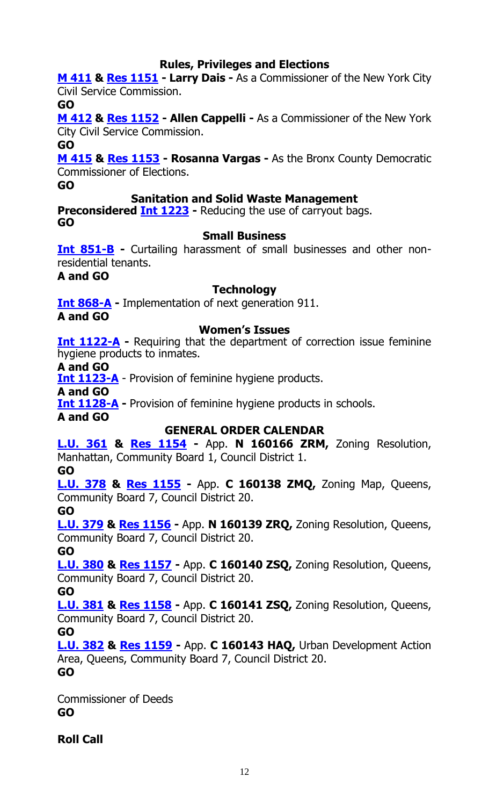# **Rules, Privileges and Elections**

**[M 411](http://legistar.council.nyc.gov/LegislationDetail.aspx?ID=2745778&GUID=1B0C8A38-4A61-484D-8DB7-EDA4D8EBBE08&Options=ID|&Search=) & [Res 1151](http://legistar.council.nyc.gov/LegislationDetail.aspx?ID=2764917&GUID=4D042331-D411-4A42-B2C1-A82CC6F3594F&Options=ID|&Search=) - Larry Dais -** As a Commissioner of the New York City Civil Service Commission.

**GO**

**[M 412](http://legistar.council.nyc.gov/LegislationDetail.aspx?ID=2745779&GUID=9021FBC9-3B07-4856-A70D-B83A5CB7D8FC&Options=ID|&Search=) & [Res 1152](http://legistar.council.nyc.gov/LegislationDetail.aspx?ID=2764918&GUID=ABA1E155-4C9D-4447-9A00-3E2127EA355C&Options=ID|&Search=) - Allen Cappelli -** As a Commissioner of the New York City Civil Service Commission.

**GO**

**[M 415](http://legistar.council.nyc.gov/LegislationDetail.aspx?ID=2750669&GUID=4905E4E0-D677-4B03-8E06-6F1E04ECDA2F&Options=ID|&Search=) & [Res 1153](http://legistar.council.nyc.gov/LegislationDetail.aspx?ID=2764916&GUID=012872F0-BBB1-4BFB-A0B3-3AE7DAD8A570&Options=ID|&Search=) - Rosanna Vargas -** As the Bronx County Democratic Commissioner of Elections.

**GO**

## **Sanitation and Solid Waste Management**

**Preconsidered Int [1223](http://legistar.council.nyc.gov/LegislationDetail.aspx?ID=2761187&GUID=6AD5229A-561A-4B56-ACF9-3FC8F0C89AB7&Options=ID|&Search=) -** Reducing the use of carryout bags. **GO**

#### **Small Business**

**[Int 851-B](http://legistar.council.nyc.gov/LegislationDetail.aspx?ID=2386568&GUID=A9BB6E4B-5E2C-442A-814B-E9AD1AFA880E&Options=ID%7c&Search=0851) -** Curtailing harassment of small businesses and other nonresidential tenants.

**A and GO**

#### **Technology**

**[Int 868-A](http://legistar.council.nyc.gov/LegislationDetail.aspx?ID=2404401&GUID=115ECB17-D5D7-4497-8F18-685923A25157&Options=ID|&Search=0868) -** Implementation of next generation 911.

**A and GO**

# **Women's Issues**

**[Int 1122-A](http://legistar.council.nyc.gov/LegislationDetail.aspx?ID=2637117&GUID=4D97B9EE-4986-4B87-B846-2E52A329695A&Options=Advanced&Search=)** - Requiring that the department of correction issue feminine hygiene products to inmates.

**A and GO**

**[Int 1123-A](http://legistar.council.nyc.gov/LegislationDetail.aspx?ID=2637112&GUID=31322AF8-376A-4D7F-93B2-4243BA5E4181&Options=Advanced&Search=)** - Provision of feminine hygiene products.

**A and GO**

**[Int 1128-A](http://legistar.council.nyc.gov/LegislationDetail.aspx?ID=2637114&GUID=834E4DFC-7F14-4E1E-812F-2CD862A4FC1D&Options=Advanced&Search=)** - Provision of feminine hygiene products in schools.

**A and GO**

# **GENERAL ORDER CALENDAR**

**[L.U. 361](http://legistar.council.nyc.gov/LegislationDetail.aspx?ID=2703186&GUID=E3325BD9-F218-48F1-973A-2A8F79BD9466&Options=Advanced&Search=) & Res [1154](http://legistar.council.nyc.gov/LegislationDetail.aspx?ID=2761990&GUID=13F415CA-6C7E-443E-9120-4D64601A27E4&Options=ID|&Search=) -** App. **N 160166 ZRM,** Zoning Resolution, Manhattan, Community Board 1, Council District 1.

**GO**

**[L.U. 378](http://legistar.council.nyc.gov/LegislationDetail.aspx?ID=2735389&GUID=13D8D22B-6BF2-4C2B-BAC3-D5488B3ECDDD&Options=Advanced&Search=) & Res [1155](http://legistar.council.nyc.gov/LegislationDetail.aspx?ID=2761991&GUID=6AB5B4B3-FD53-4787-9B19-3347B1E609D8&Options=ID|&Search=) -** App. **C 160138 ZMQ,** Zoning Map, Queens, Community Board 7, Council District 20.

**GO**

**[L.U. 379](http://legistar.council.nyc.gov/LegislationDetail.aspx?ID=2735390&GUID=9FD39F3E-AFBD-4F81-AC86-033197CD939F&Options=Advanced&Search=) & Res [1156](http://legistar.council.nyc.gov/LegislationDetail.aspx?ID=2761992&GUID=2B9134F2-AA7F-4F93-A6DB-884F4439464C&Options=ID|&Search=) -** App. **N 160139 ZRQ,** Zoning Resolution, Queens, Community Board 7, Council District 20.

**GO**

**[L.U. 380](http://legistar.council.nyc.gov/LegislationDetail.aspx?ID=2735391&GUID=EAEAC3F1-4CF4-4674-BACC-418C191749E1&Options=Advanced&Search=) & Res [1157](http://legistar.council.nyc.gov/LegislationDetail.aspx?ID=2761993&GUID=4EE1D8D0-1D9D-4CD7-AF95-3E78471BD6E6&Options=ID|&Search=) -** App. **C 160140 ZSQ,** Zoning Resolution, Queens, Community Board 7, Council District 20.

**GO**

**[L.U. 381](http://legistar.council.nyc.gov/LegislationDetail.aspx?ID=2735392&GUID=404627A6-F071-433A-940D-9A097A148C85&Options=Advanced&Search=) & Res [1158](http://legistar.council.nyc.gov/LegislationDetail.aspx?ID=2761994&GUID=9C803BA5-8459-4EA0-910D-900BE5A801C9&Options=ID|&Search=) -** App. **C 160141 ZSQ,** Zoning Resolution, Queens, Community Board 7, Council District 20.

**GO**

**[L.U. 382](http://legistar.council.nyc.gov/LegislationDetail.aspx?ID=2735393&GUID=127973EE-5A4D-4298-8080-1FF581CF9058&Options=Advanced&Search=) & Res [1159](http://legistar.council.nyc.gov/LegislationDetail.aspx?ID=2762007&GUID=6AB990A4-8EE2-4879-8843-EC0903CEA536&Options=ID|&Search=) -** App. **C 160143 HAQ,** Urban Development Action Area, Queens, Community Board 7, Council District 20. **GO**

Commissioner of Deeds **GO**

**Roll Call**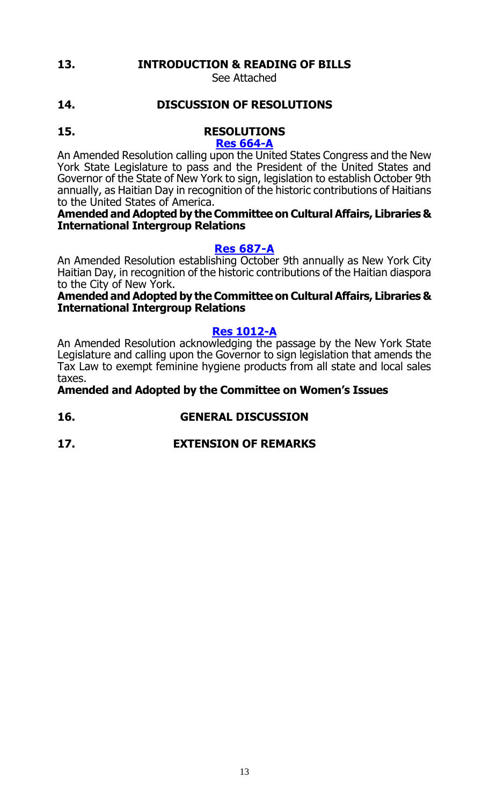# **13. INTRODUCTION & READING OF BILLS**

See Attached

# **14. DISCUSSION OF RESOLUTIONS**

#### **15. RESOLUTIONS [Res 664-A](http://legistar.council.nyc.gov/LegislationDetail.aspx?ID=2271078&GUID=868450C5-F2D5-46FD-907C-9DCE4F46FC6B&Options=ID|&Search=0664)**

An Amended Resolution calling upon the United States Congress and the New York State Legislature to pass and the President of the United States and Governor of the State of New York to sign, legislation to establish October 9th annually, as Haitian Day in recognition of the historic contributions of Haitians to the United States of America.

#### **Amended and Adopted by the Committee on Cultural Affairs, Libraries & International Intergroup Relations**

## **[Res 687-A](http://legistar.council.nyc.gov/LegislationDetail.aspx?ID=2286852&GUID=B74A4CF4-01DB-4F73-AA5A-912EE8CC5C81&Options=ID|&Search=0687)**

An Amended Resolution establishing October 9th annually as New York City Haitian Day, in recognition of the historic contributions of the Haitian diaspora to the City of New York.

#### **Amended and Adopted by the Committee on Cultural Affairs, Libraries & International Intergroup Relations**

#### **[Res 1012-A](http://legistar.council.nyc.gov/LegislationDetail.aspx?ID=2637113&GUID=7F0EE1AF-0FCF-4CFA-BC21-DE35F7A47800&Options=ID|&Search=1012)**

An Amended Resolution acknowledging the passage by the New York State Legislature and calling upon the Governor to sign legislation that amends the Tax Law to exempt feminine hygiene products from all state and local sales taxes.

# **Amended and Adopted by the Committee on Women's Issues**

- **16. GENERAL DISCUSSION**
- **17. EXTENSION OF REMARKS**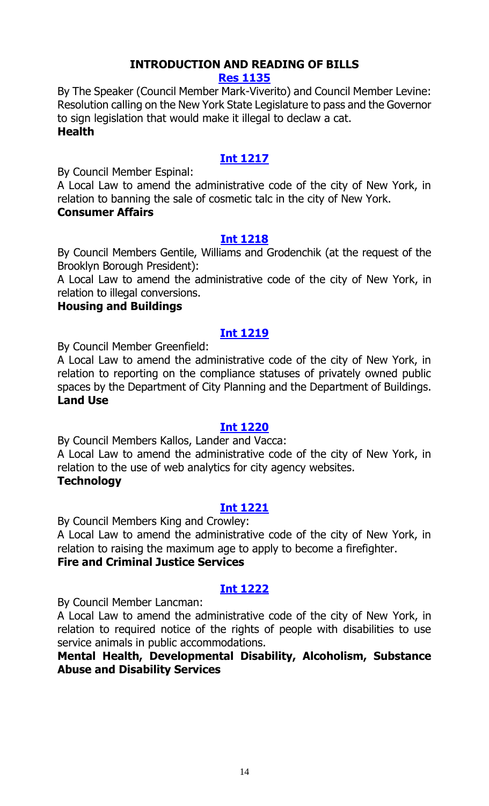# **INTRODUCTION AND READING OF BILLS**

**[Res 1135](http://legistar.council.nyc.gov/LegislationDetail.aspx?ID=2764887&GUID=0F760107-C41E-404E-8B27-72C1B48D9DB9&Options=ID%7c&Search=)**

By The Speaker (Council Member Mark-Viverito) and Council Member Levine: Resolution calling on the New York State Legislature to pass and the Governor to sign legislation that would make it illegal to declaw a cat. **Health**

# **[Int 1217](http://legistar.council.nyc.gov/LegislationDetail.aspx?ID=2764884&GUID=ED294F9F-4165-48BF-A0F6-C2B50946B1E9&Options=ID%7c&Search=)**

By Council Member Espinal:

A Local Law to amend the administrative code of the city of New York, in relation to banning the sale of cosmetic talc in the city of New York. **Consumer Affairs**

#### **[Int 1218](http://legistar.council.nyc.gov/LegislationDetail.aspx?ID=2764886&GUID=EF92B99F-832C-4095-B258-698F026A88CA&Options=ID|&Search=)**

By Council Members Gentile, Williams and Grodenchik (at the request of the Brooklyn Borough President):

A Local Law to amend the administrative code of the city of New York, in relation to illegal conversions.

#### **Housing and Buildings**

#### **[Int 1219](http://legistar.council.nyc.gov/LegislationDetail.aspx?ID=2761463&GUID=BBE87635-26F9-4EEF-A389-934D20CB6FF9&Options=ID|&Search=)**

By Council Member Greenfield:

A Local Law to amend the administrative code of the city of New York, in relation to reporting on the compliance statuses of privately owned public spaces by the Department of City Planning and the Department of Buildings. **Land Use**

#### **[Int 1220](http://legistar.council.nyc.gov/LegislationDetail.aspx?ID=2764877&GUID=6EC19445-3355-4058-8E3A-1400A2F6FDAB&Options=ID|&Search=)**

By Council Members Kallos, Lander and Vacca: A Local Law to amend the administrative code of the city of New York, in relation to the use of web analytics for city agency websites. **Technology**

# **[Int 1221](http://legistar.council.nyc.gov/LegislationDetail.aspx?ID=2764880&GUID=BB484237-3EFD-4FFA-92D4-9BFB6D626E3E&Options=ID|&Search=)**

By Council Members King and Crowley:

A Local Law to amend the administrative code of the city of New York, in relation to raising the maximum age to apply to become a firefighter.

## **Fire and Criminal Justice Services**

# **[Int 1222](http://legistar.council.nyc.gov/LegislationDetail.aspx?ID=2764881&GUID=C02A935B-4D0D-446B-AA29-863172379CA1&Options=ID|&Search=)**

By Council Member Lancman:

A Local Law to amend the administrative code of the city of New York, in relation to required notice of the rights of people with disabilities to use service animals in public accommodations.

## **Mental Health, Developmental Disability, Alcoholism, Substance Abuse and Disability Services**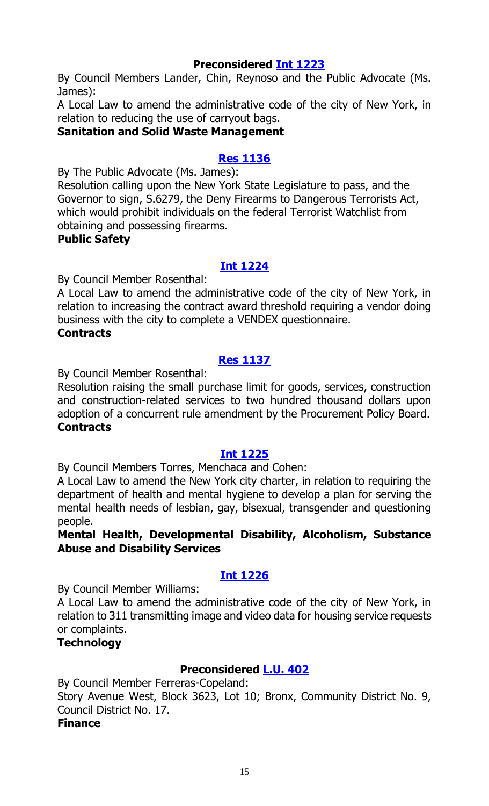## **Preconsidered [Int 1223](http://legistar.council.nyc.gov/LegislationDetail.aspx?ID=2761187&GUID=6AD5229A-561A-4B56-ACF9-3FC8F0C89AB7&Options=ID|&Search=)**

By Council Members Lander, Chin, Reynoso and the Public Advocate (Ms. James):

A Local Law to amend the administrative code of the city of New York, in relation to reducing the use of carryout bags.

## **Sanitation and Solid Waste Management**

## **[Res 1136](http://legistar.council.nyc.gov/LegislationDetail.aspx?ID=2764878&GUID=B2EE65D2-DB2F-49DF-ABF0-070EF8717C4D&Options=ID|&Search=)**

By The Public Advocate (Ms. James):

Resolution calling upon the New York State Legislature to pass, and the Governor to sign, S.6279, the Deny Firearms to Dangerous Terrorists Act, which would prohibit individuals on the federal Terrorist Watchlist from obtaining and possessing firearms.

#### **Public Safety**

#### **[Int 1224](http://legistar.council.nyc.gov/LegislationDetail.aspx?ID=2764882&GUID=8CF691A4-B74E-46EA-83FE-2D0E130F7CC4&Options=ID|&Search=)**

By Council Member Rosenthal:

A Local Law to amend the administrative code of the city of New York, in relation to increasing the contract award threshold requiring a vendor doing business with the city to complete a VENDEX questionnaire.

# **Contracts**

# **[Res 1137](http://legistar.council.nyc.gov/LegislationDetail.aspx?ID=2764883&GUID=DAD2F16B-554B-41C1-9CAE-DF7C14D0CC5F&Options=ID|&Search=)**

By Council Member Rosenthal:

Resolution raising the small purchase limit for goods, services, construction and construction-related services to two hundred thousand dollars upon adoption of a concurrent rule amendment by the Procurement Policy Board. **Contracts**

#### **[Int 1225](http://legistar.council.nyc.gov/LegislationDetail.aspx?ID=2764879&GUID=A1C784B6-BCDF-4230-9622-49DD8ECA0B0D&Options=ID|&Search=)**

By Council Members Torres, Menchaca and Cohen:

A Local Law to amend the New York city charter, in relation to requiring the department of health and mental hygiene to develop a plan for serving the mental health needs of lesbian, gay, bisexual, transgender and questioning people.

#### **Mental Health, Developmental Disability, Alcoholism, Substance Abuse and Disability Services**

# **[Int 1226](http://legistar.council.nyc.gov/LegislationDetail.aspx?ID=2764885&GUID=CC876B0C-3647-45A4-A62B-7B402E2BCA81&Options=ID|&Search=)**

By Council Member Williams:

A Local Law to amend the administrative code of the city of New York, in relation to 311 transmitting image and video data for housing service requests or complaints.

#### **Technology**

# **Preconsidered [L.U. 402](http://legistar.council.nyc.gov/LegislationDetail.aspx?ID=2761218&GUID=CCEB2572-2EC0-4EF9-89AC-0E2F2D26B019&Options=ID%7c&Search=)**

By Council Member Ferreras-Copeland:

Story Avenue West, Block 3623, Lot 10; Bronx, Community District No. 9, Council District No. 17.

#### **Finance**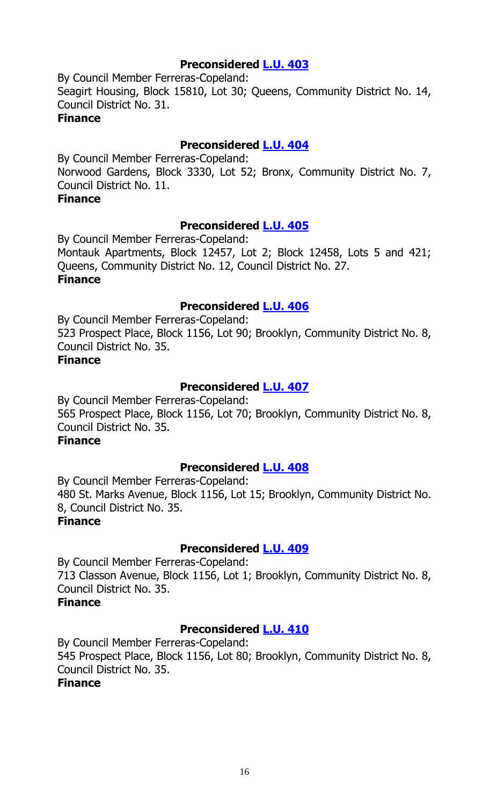# **Preconsidered [L.U. 403](http://legistar.council.nyc.gov/LegislationDetail.aspx?ID=2761234&GUID=14D62851-72F0-4204-A2B3-BA9F4C1B128F&Options=ID|&Search=)**

By Council Member Ferreras-Copeland: Seagirt Housing, Block 15810, Lot 30; Queens, Community District No. 14, Council District No. 31. **Finance**

## **Preconsidered [L.U. 404](http://legistar.council.nyc.gov/LegislationDetail.aspx?ID=2761235&GUID=68A50FFA-67C7-460A-9F4D-70A90227E922&Options=ID|&Search=)**

By Council Member Ferreras-Copeland: Norwood Gardens, Block 3330, Lot 52; Bronx, Community District No. 7, Council District No. 11.

#### **Finance**

## **Preconsidered [L.U. 405](http://legistar.council.nyc.gov/LegislationDetail.aspx?ID=2761236&GUID=C3928E4C-CC62-4ACA-A1A5-E05C102F11D7&Options=ID|&Search=)**

By Council Member Ferreras-Copeland: Montauk Apartments, Block 12457, Lot 2; Block 12458, Lots 5 and 421; Queens, Community District No. 12, Council District No. 27. **Finance**

#### **Preconsidered [L.U. 406](http://legistar.council.nyc.gov/LegislationDetail.aspx?ID=2761242&GUID=BFCF331A-4B80-4745-9681-208D0C03AE38&Options=ID|&Search=)**

By Council Member Ferreras-Copeland: 523 Prospect Place, Block 1156, Lot 90; Brooklyn, Community District No. 8, Council District No. 35.

## **Finance**

# **Preconsidered [L.U. 407](http://legistar.council.nyc.gov/LegislationDetail.aspx?ID=2761243&GUID=66B32906-34E4-4F57-AA81-6DCE8C8DCD0D&Options=ID|&Search=)**

By Council Member Ferreras-Copeland: 565 Prospect Place, Block 1156, Lot 70; Brooklyn, Community District No. 8, Council District No. 35.

# **Finance**

#### **Preconsidered [L.U. 408](http://legistar.council.nyc.gov/LegislationDetail.aspx?ID=2761246&GUID=63E75696-6CA1-4699-BF32-8C76EBE93B9C&Options=ID|&Search=)**

By Council Member Ferreras-Copeland: 480 St. Marks Avenue, Block 1156, Lot 15; Brooklyn, Community District No. 8, Council District No. 35. **Finance**

#### **Preconsidered [L.U. 409](http://legistar.council.nyc.gov/LegislationDetail.aspx?ID=2761247&GUID=129791EB-5B28-4280-8110-B76DEB784CF4&Options=ID|&Search=)**

By Council Member Ferreras-Copeland: 713 Classon Avenue, Block 1156, Lot 1; Brooklyn, Community District No. 8, Council District No. 35.

# **Finance**

# **Preconsidered [L.U. 410](http://legistar.council.nyc.gov/LegislationDetail.aspx?ID=2761248&GUID=F76557AA-E926-43D6-8F3D-9FC46096B6AE&Options=ID|&Search=)**

By Council Member Ferreras-Copeland: 545 Prospect Place, Block 1156, Lot 80; Brooklyn, Community District No. 8, Council District No. 35. **Finance**

#### 16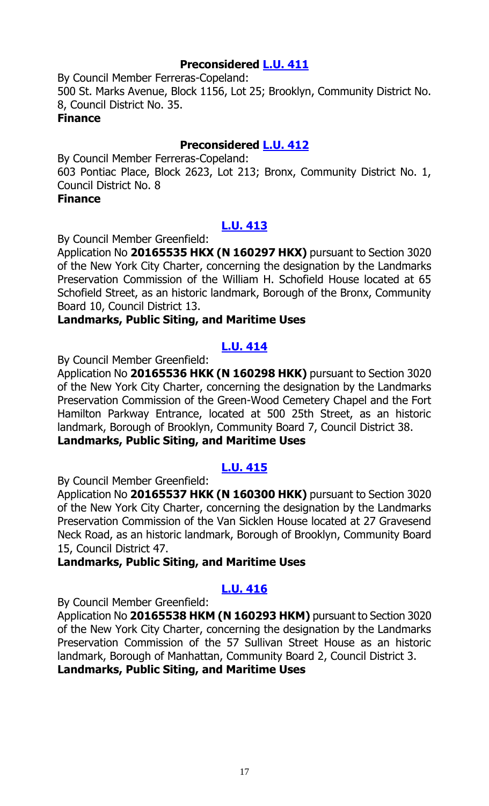# **Preconsidered [L.U. 411](http://legistar.council.nyc.gov/LegislationDetail.aspx?ID=2761249&GUID=329812D9-1ED4-4696-A016-2250198E2C4E&Options=ID|&Search=)**

By Council Member Ferreras-Copeland: 500 St. Marks Avenue, Block 1156, Lot 25; Brooklyn, Community District No. 8, Council District No. 35. **Finance**

#### **Preconsidered [L.U. 412](http://legistar.council.nyc.gov/LegislationDetail.aspx?ID=2762766&GUID=A0A9C57F-C967-42A5-8A93-20C490B1AF00&Options=ID|&Search=)**

By Council Member Ferreras-Copeland: 603 Pontiac Place, Block 2623, Lot 213; Bronx, Community District No. 1, Council District No. 8

### **Finance**

# **[L.U. 413](http://legistar.council.nyc.gov/LegislationDetail.aspx?ID=2764919&GUID=76295C9E-AD31-4978-9944-9F5F94E3F824&Options=ID|&Search=)**

By Council Member Greenfield:

Application No **20165535 HKX (N 160297 HKX)** pursuant to Section 3020 of the New York City Charter, concerning the designation by the Landmarks Preservation Commission of the William H. Schofield House located at 65 Schofield Street, as an historic landmark, Borough of the Bronx, Community Board 10, Council District 13.

## **Landmarks, Public Siting, and Maritime Uses**

## **[L.U. 414](http://legistar.council.nyc.gov/LegislationDetail.aspx?ID=2764920&GUID=0A208D58-32BD-4581-96E0-93167C5A740F&Options=ID|&Search=)**

By Council Member Greenfield:

Application No **20165536 HKK (N 160298 HKK)** pursuant to Section 3020 of the New York City Charter, concerning the designation by the Landmarks Preservation Commission of the Green-Wood Cemetery Chapel and the Fort Hamilton Parkway Entrance, located at 500 25th Street, as an historic landmark, Borough of Brooklyn, Community Board 7, Council District 38. **Landmarks, Public Siting, and Maritime Uses**

# **[L.U. 415](http://legistar.council.nyc.gov/LegislationDetail.aspx?ID=2764921&GUID=43727DAC-26BD-4A2D-A286-5038775D24B2&Options=ID|&Search=)**

By Council Member Greenfield:

Application No **20165537 HKK (N 160300 HKK)** pursuant to Section 3020 of the New York City Charter, concerning the designation by the Landmarks Preservation Commission of the Van Sicklen House located at 27 Gravesend Neck Road, as an historic landmark, Borough of Brooklyn, Community Board 15, Council District 47.

#### **Landmarks, Public Siting, and Maritime Uses**

# **[L.U. 416](http://legistar.council.nyc.gov/LegislationDetail.aspx?ID=2764922&GUID=AB6D222B-B5E6-400C-B61B-46C8901B6BD0&Options=ID|&Search=)**

By Council Member Greenfield:

Application No **20165538 HKM (N 160293 HKM)** pursuant to Section 3020 of the New York City Charter, concerning the designation by the Landmarks Preservation Commission of the 57 Sullivan Street House as an historic landmark, Borough of Manhattan, Community Board 2, Council District 3. **Landmarks, Public Siting, and Maritime Uses**